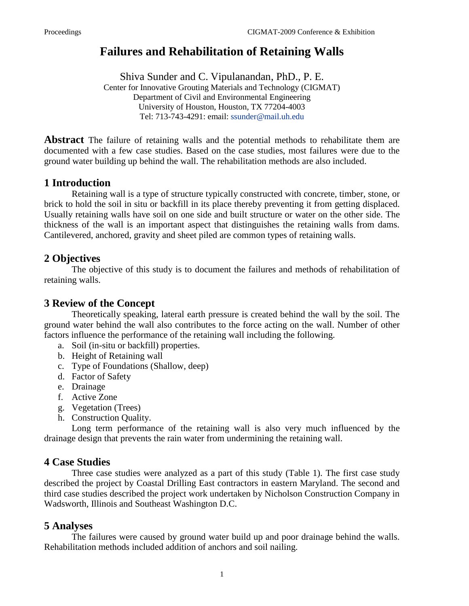# **Failures and Rehabilitation of Retaining Walls**

Shiva Sunder and C. Vipulanandan, PhD., P. E.

Center for Innovative Grouting Materials and Technology (CIGMAT) Department of Civil and Environmental Engineering University of Houston, Houston, TX 77204-4003 Tel: 713-743-4291: email: [ssunder@mail.uh.edu](mailto:ssunder@mail.uh.edu)

**Abstract** The failure of retaining walls and the potential methods to rehabilitate them are documented with a few case studies. Based on the case studies, most failures were due to the ground water building up behind the wall. The rehabilitation methods are also included.

#### **1 Introduction**

Retaining wall is a type of structure typically constructed with concrete, timber, stone, or brick to hold the soil in situ or backfill in its place thereby preventing it from getting displaced. Usually retaining walls have soil on one side and built structure or water on the other side. The thickness of the wall is an important aspect that distinguishes the retaining walls from dams. Cantilevered, anchored, gravity and sheet piled are common types of retaining walls.

## **2 Objectives**

The objective of this study is to document the failures and methods of rehabilitation of retaining walls.

#### **3 Review of the Concept**

Theoretically speaking, lateral earth pressure is created behind the wall by the soil. The ground water behind the wall also contributes to the force acting on the wall. Number of other factors influence the performance of the retaining wall including the following.

- a. Soil (in-situ or backfill) properties.
- b. Height of Retaining wall
- c. Type of Foundations (Shallow, deep)
- d. Factor of Safety
- e. Drainage
- f. Active Zone
- g. Vegetation (Trees)
- h. Construction Quality.

Long term performance of the retaining wall is also very much influenced by the drainage design that prevents the rain water from undermining the retaining wall.

## **4 Case Studies**

Three case studies were analyzed as a part of this study (Table 1). The first case study described the project by Coastal Drilling East contractors in eastern Maryland. The second and third case studies described the project work undertaken by Nicholson Construction Company in Wadsworth, Illinois and Southeast Washington D.C.

## **5 Analyses**

The failures were caused by ground water build up and poor drainage behind the walls. Rehabilitation methods included addition of anchors and soil nailing.